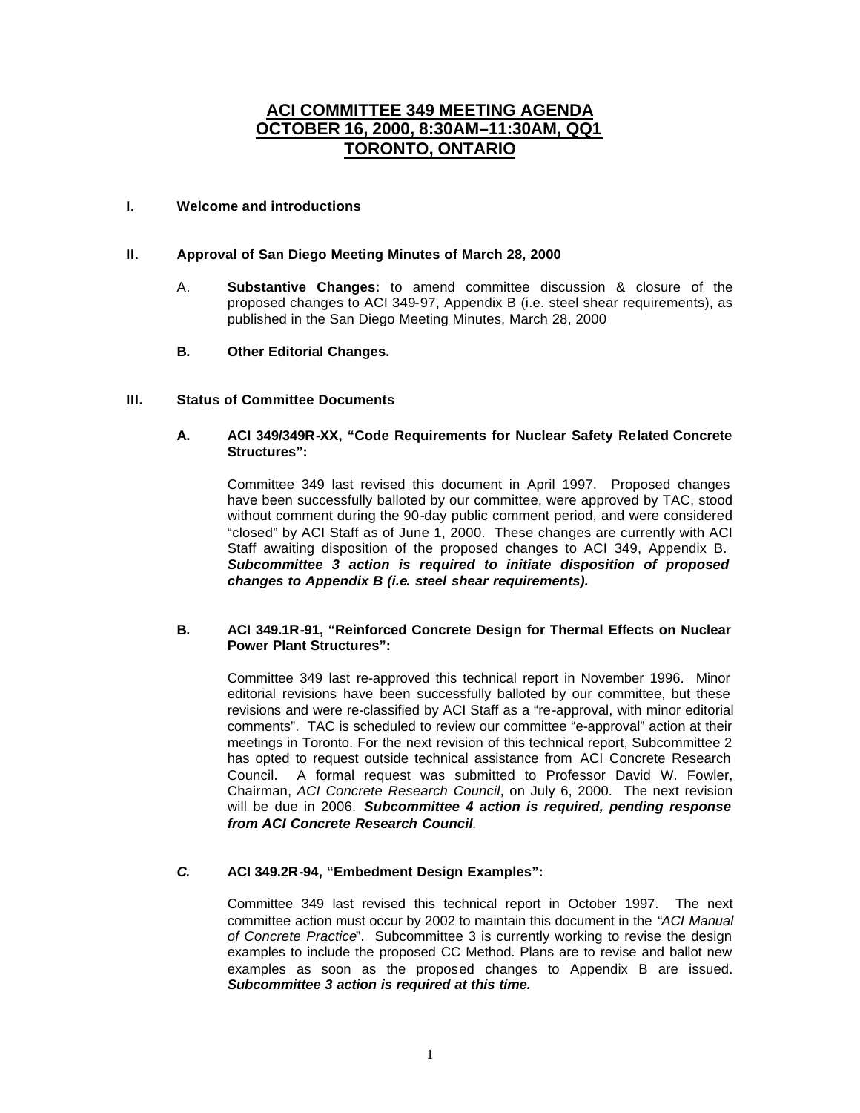# **ACI COMMITTEE 349 MEETING AGENDA OCTOBER 16, 2000, 8:30AM–11:30AM, QQ1 TORONTO, ONTARIO**

#### **I. Welcome and introductions**

# **II. Approval of San Diego Meeting Minutes of March 28, 2000**

- A. **Substantive Changes:** to amend committee discussion & closure of the proposed changes to ACI 349-97, Appendix B (i.e. steel shear requirements), as published in the San Diego Meeting Minutes, March 28, 2000
- **B. Other Editorial Changes.**

#### **III. Status of Committee Documents**

#### **A. ACI 349/349R-XX, "Code Requirements for Nuclear Safety Related Concrete Structures":**

Committee 349 last revised this document in April 1997. Proposed changes have been successfully balloted by our committee, were approved by TAC, stood without comment during the 90-day public comment period, and were considered "closed" by ACI Staff as of June 1, 2000. These changes are currently with ACI Staff awaiting disposition of the proposed changes to ACI 349, Appendix B. *Subcommittee 3 action is required to initiate disposition of proposed changes to Appendix B (i.e. steel shear requirements).*

#### **B. ACI 349.1R-91, "Reinforced Concrete Design for Thermal Effects on Nuclear Power Plant Structures":**

Committee 349 last re-approved this technical report in November 1996. Minor editorial revisions have been successfully balloted by our committee, but these revisions and were re-classified by ACI Staff as a "re-approval, with minor editorial comments". TAC is scheduled to review our committee "e-approval" action at their meetings in Toronto. For the next revision of this technical report, Subcommittee 2 has opted to request outside technical assistance from ACI Concrete Research Council. A formal request was submitted to Professor David W. Fowler, Chairman, *ACI Concrete Research Council*, on July 6, 2000. The next revision will be due in 2006. *Subcommittee 4 action is required, pending response from ACI Concrete Research Council.*

# *C.* **ACI 349.2R-94, "Embedment Design Examples":**

Committee 349 last revised this technical report in October 1997. The next committee action must occur by 2002 to maintain this document in the *"ACI Manual of Concrete Practice*". Subcommittee 3 is currently working to revise the design examples to include the proposed CC Method. Plans are to revise and ballot new examples as soon as the proposed changes to Appendix B are issued. *Subcommittee 3 action is required at this time.*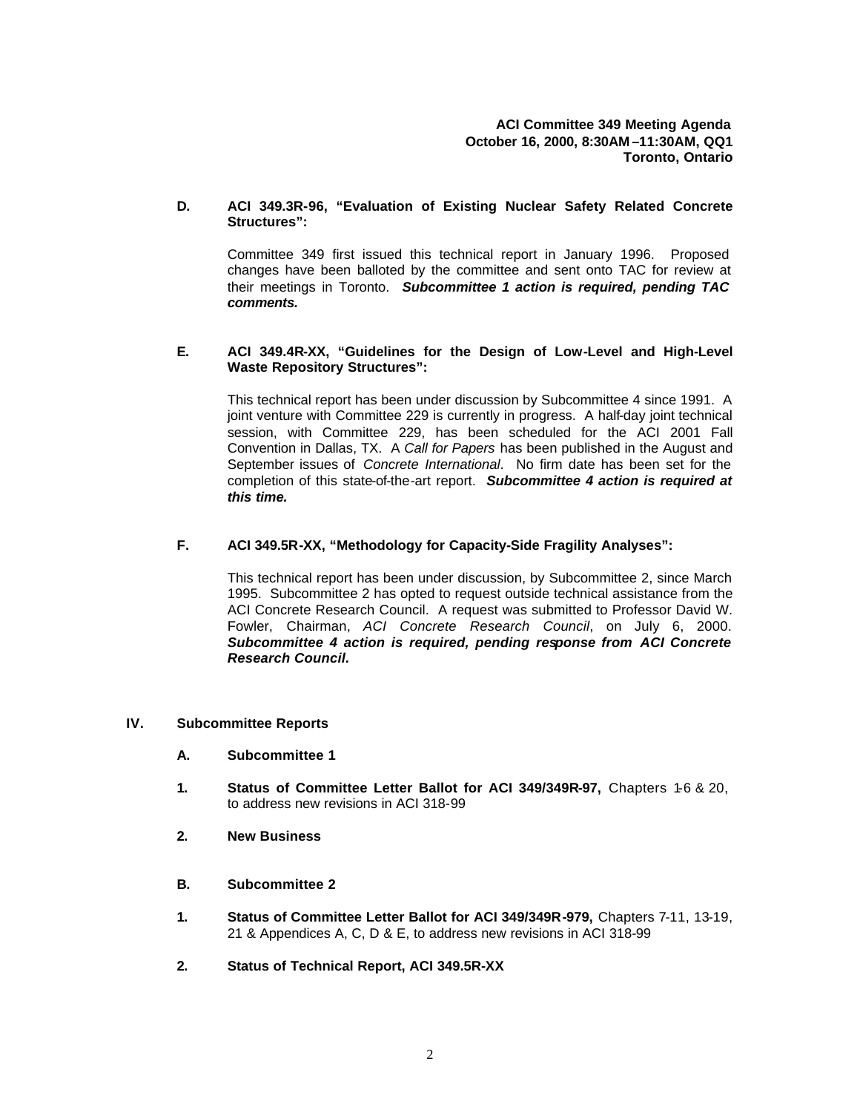#### **D. ACI 349.3R-96, "Evaluation of Existing Nuclear Safety Related Concrete Structures":**

Committee 349 first issued this technical report in January 1996. Proposed changes have been balloted by the committee and sent onto TAC for review at their meetings in Toronto. *Subcommittee 1 action is required, pending TAC comments.*

#### **E. ACI 349.4R-XX, "Guidelines for the Design of Low-Level and High-Level Waste Repository Structures":**

This technical report has been under discussion by Subcommittee 4 since 1991. A joint venture with Committee 229 is currently in progress. A half-day joint technical session, with Committee 229, has been scheduled for the ACI 2001 Fall Convention in Dallas, TX. A *Call for Papers* has been published in the August and September issues of *Concrete International*. No firm date has been set for the completion of this state-of-the-art report. *Subcommittee 4 action is required at this time.* 

# **F. ACI 349.5R-XX, "Methodology for Capacity-Side Fragility Analyses":**

This technical report has been under discussion, by Subcommittee 2, since March 1995. Subcommittee 2 has opted to request outside technical assistance from the ACI Concrete Research Council. A request was submitted to Professor David W. Fowler, Chairman, *ACI Concrete Research Council*, on July 6, 2000. *Subcommittee 4 action is required, pending response from ACI Concrete Research Council.*

# **IV. Subcommittee Reports**

- **A. Subcommittee 1**
- **1. Status of Committee Letter Ballot for ACI 349/349R-97,** Chapters 1-6 & 20, to address new revisions in ACI 318-99
- **2. New Business**
- **B. Subcommittee 2**
- **1. Status of Committee Letter Ballot for ACI 349/349R-979,** Chapters 7-11, 13-19, 21 & Appendices A, C, D & E, to address new revisions in ACI 318-99
- **2. Status of Technical Report, ACI 349.5R-XX**